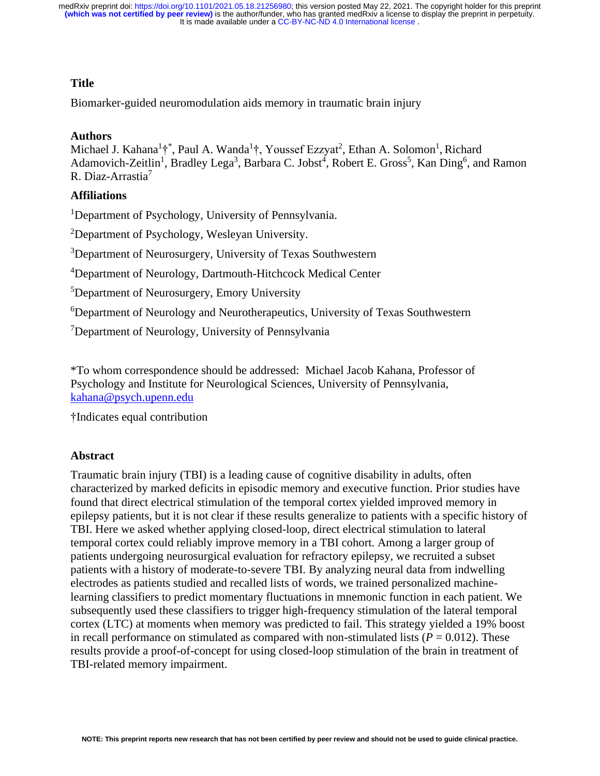# **Title**

Biomarker-guided neuromodulation aids memory in traumatic brain injury

# **Authors**

Michael J. Kahana<sup>1</sup>†<sup>\*</sup>, Paul A. Wanda<sup>1</sup>†, Youssef Ezzyat<sup>2</sup>, Ethan A. Solomon<sup>1</sup>, Richard Adamovich-Zeitlin<sup>1</sup>, Bradley Lega<sup>3</sup>, Barbara C. Jobst<sup>4</sup>, Robert E. Gross<sup>5</sup>, Kan Ding<sup>6</sup>, and Ramon R. Diaz-Arrastia<sup>7</sup>

# **Affiliations**

<sup>1</sup>Department of Psychology, University of Pennsylvania.

<sup>2</sup>Department of Psychology, Wesleyan University.

<sup>3</sup>Department of Neurosurgery, University of Texas Southwestern

<sup>4</sup>Department of Neurology, Dartmouth-Hitchcock Medical Center

<sup>5</sup>Department of Neurosurgery, Emory University

<sup>6</sup>Department of Neurology and Neurotherapeutics, University of Texas Southwestern

<sup>7</sup>Department of Neurology, University of Pennsylvania

\*To whom correspondence should be addressed: Michael Jacob Kahana, Professor of Psychology and Institute for Neurological Sciences, University of Pennsylvania, [kahana@psych.upenn.edu](mailto:kahana@psych.upenn.edu)

†Indicates equal contribution

# **Abstract**

Traumatic brain injury (TBI) is a leading cause of cognitive disability in adults, often characterized by marked deficits in episodic memory and executive function. Prior studies have found that direct electrical stimulation of the temporal cortex yielded improved memory in epilepsy patients, but it is not clear if these results generalize to patients with a specific history of TBI. Here we asked whether applying closed-loop, direct electrical stimulation to lateral temporal cortex could reliably improve memory in a TBI cohort. Among a larger group of patients undergoing neurosurgical evaluation for refractory epilepsy, we recruited a subset patients with a history of moderate-to-severe TBI. By analyzing neural data from indwelling electrodes as patients studied and recalled lists of words, we trained personalized machinelearning classifiers to predict momentary fluctuations in mnemonic function in each patient. We subsequently used these classifiers to trigger high-frequency stimulation of the lateral temporal cortex (LTC) at moments when memory was predicted to fail. This strategy yielded a 19% boost in recall performance on stimulated as compared with non-stimulated lists  $(P = 0.012)$ . These results provide a proof-of-concept for using closed-loop stimulation of the brain in treatment of TBI-related memory impairment.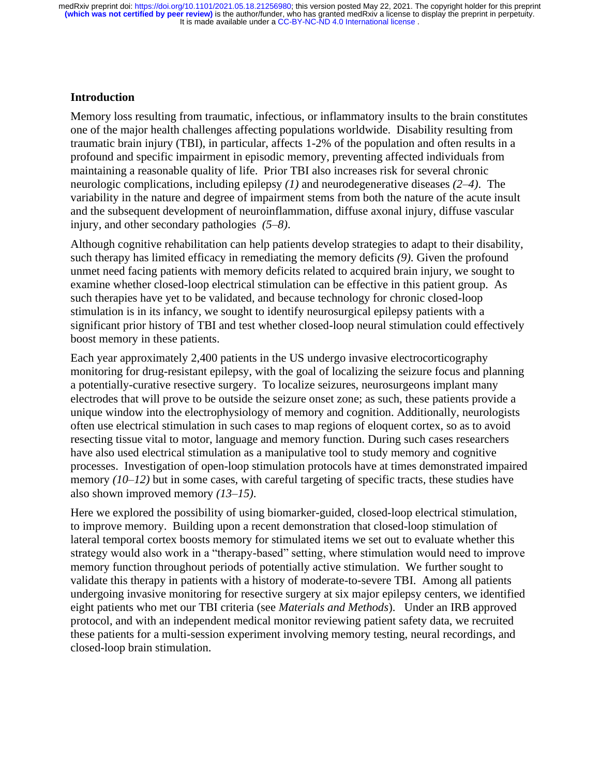## **Introduction**

Memory loss resulting from traumatic, infectious, or inflammatory insults to the brain constitutes one of the major health challenges affecting populations worldwide. Disability resulting from traumatic brain injury (TBI), in particular, affects 1-2% of the population and often results in a profound and specific impairment in episodic memory, preventing affected individuals from maintaining a reasonable quality of life. Prior TBI also increases risk for several chronic neurologic complications, including epilepsy *(1)* and neurodegenerative diseases *(2–4)*. The variability in the nature and degree of impairment stems from both the nature of the acute insult and the subsequent development of neuroinflammation, diffuse axonal injury, diffuse vascular injury, and other secondary pathologies *(5–8)*.

Although cognitive rehabilitation can help patients develop strategies to adapt to their disability, such therapy has limited efficacy in remediating the memory deficits *(9)*. Given the profound unmet need facing patients with memory deficits related to acquired brain injury, we sought to examine whether closed-loop electrical stimulation can be effective in this patient group. As such therapies have yet to be validated, and because technology for chronic closed-loop stimulation is in its infancy, we sought to identify neurosurgical epilepsy patients with a significant prior history of TBI and test whether closed-loop neural stimulation could effectively boost memory in these patients.

Each year approximately 2,400 patients in the US undergo invasive electrocorticography monitoring for drug-resistant epilepsy, with the goal of localizing the seizure focus and planning a potentially-curative resective surgery. To localize seizures, neurosurgeons implant many electrodes that will prove to be outside the seizure onset zone; as such, these patients provide a unique window into the electrophysiology of memory and cognition. Additionally, neurologists often use electrical stimulation in such cases to map regions of eloquent cortex, so as to avoid resecting tissue vital to motor, language and memory function. During such cases researchers have also used electrical stimulation as a manipulative tool to study memory and cognitive processes. Investigation of open-loop stimulation protocols have at times demonstrated impaired memory *(10–12)* but in some cases, with careful targeting of specific tracts, these studies have also shown improved memory *(13–15)*.

Here we explored the possibility of using biomarker-guided, closed-loop electrical stimulation, to improve memory. Building upon a recent demonstration that closed-loop stimulation of lateral temporal cortex boosts memory for stimulated items we set out to evaluate whether this strategy would also work in a "therapy-based" setting, where stimulation would need to improve memory function throughout periods of potentially active stimulation. We further sought to validate this therapy in patients with a history of moderate-to-severe TBI. Among all patients undergoing invasive monitoring for resective surgery at six major epilepsy centers, we identified eight patients who met our TBI criteria (see *Materials and Methods*). Under an IRB approved protocol, and with an independent medical monitor reviewing patient safety data, we recruited these patients for a multi-session experiment involving memory testing, neural recordings, and closed-loop brain stimulation.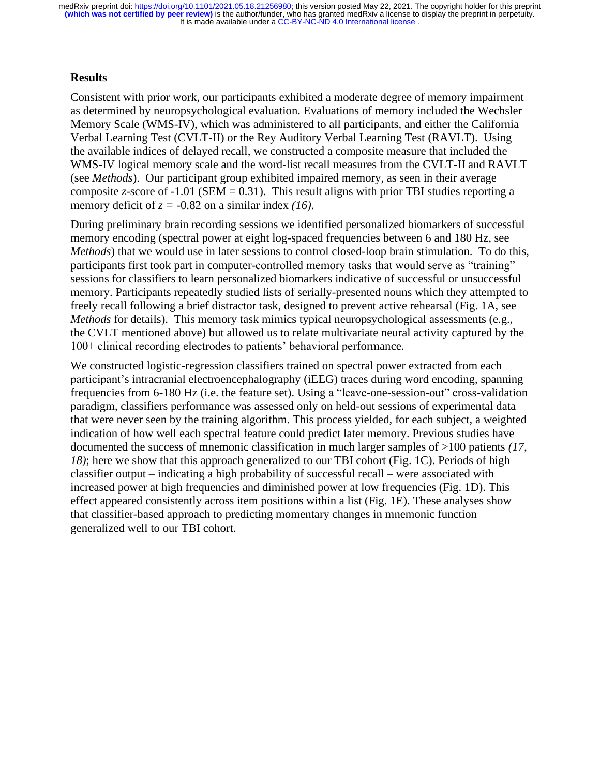## **Results**

Consistent with prior work, our participants exhibited a moderate degree of memory impairment as determined by neuropsychological evaluation. Evaluations of memory included the Wechsler Memory Scale (WMS-IV), which was administered to all participants, and either the California Verbal Learning Test (CVLT-II) or the Rey Auditory Verbal Learning Test (RAVLT). Using the available indices of delayed recall, we constructed a composite measure that included the WMS-IV logical memory scale and the word-list recall measures from the CVLT-II and RAVLT (see *Methods*). Our participant group exhibited impaired memory, as seen in their average composite *z*-score of -1.01 (SEM = 0.31). This result aligns with prior TBI studies reporting a memory deficit of  $z = -0.82$  on a similar index *(16)*.

During preliminary brain recording sessions we identified personalized biomarkers of successful memory encoding (spectral power at eight log-spaced frequencies between 6 and 180 Hz, see *Methods*) that we would use in later sessions to control closed-loop brain stimulation. To do this, participants first took part in computer-controlled memory tasks that would serve as "training" sessions for classifiers to learn personalized biomarkers indicative of successful or unsuccessful memory. Participants repeatedly studied lists of serially-presented nouns which they attempted to freely recall following a brief distractor task, designed to prevent active rehearsal (Fig. 1A, see *Methods* for details). This memory task mimics typical neuropsychological assessments (e.g., the CVLT mentioned above) but allowed us to relate multivariate neural activity captured by the 100+ clinical recording electrodes to patients' behavioral performance.

We constructed logistic-regression classifiers trained on spectral power extracted from each participant's intracranial electroencephalography (iEEG) traces during word encoding, spanning frequencies from 6-180 Hz (i.e. the feature set). Using a "leave-one-session-out" cross-validation paradigm, classifiers performance was assessed only on held-out sessions of experimental data that were never seen by the training algorithm. This process yielded, for each subject, a weighted indication of how well each spectral feature could predict later memory. Previous studies have documented the success of mnemonic classification in much larger samples of >100 patients *(17, 18)*; here we show that this approach generalized to our TBI cohort (Fig. 1C). Periods of high classifier output – indicating a high probability of successful recall – were associated with increased power at high frequencies and diminished power at low frequencies (Fig. 1D). This effect appeared consistently across item positions within a list (Fig. 1E). These analyses show that classifier-based approach to predicting momentary changes in mnemonic function generalized well to our TBI cohort.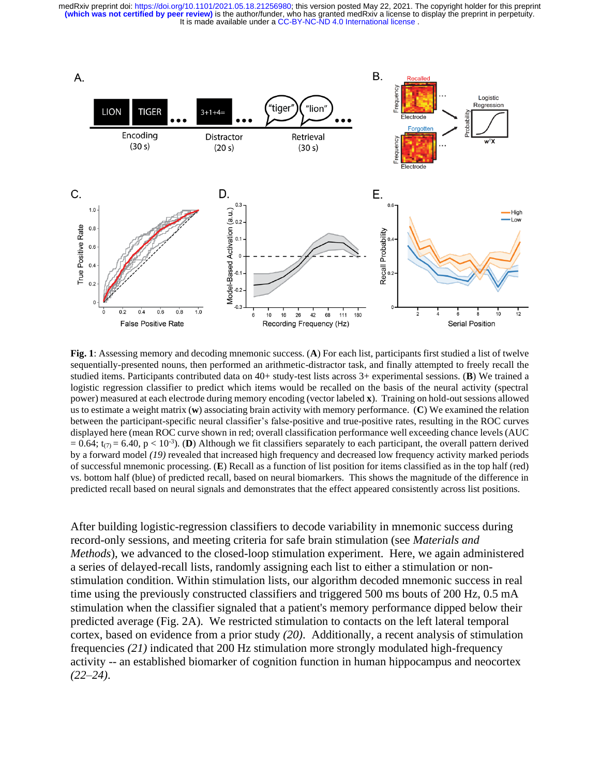

**Fig. 1**: Assessing memory and decoding mnemonic success. (**A**) For each list, participants first studied a list of twelve sequentially-presented nouns, then performed an arithmetic-distractor task, and finally attempted to freely recall the studied items. Participants contributed data on 40+ study-test lists across 3+ experimental sessions. (**B**) We trained a logistic regression classifier to predict which items would be recalled on the basis of the neural activity (spectral power) measured at each electrode during memory encoding (vector labeled **x**). Training on hold-out sessions allowed us to estimate a weight matrix (**w**) associating brain activity with memory performance. (**C**) We examined the relation between the participant-specific neural classifier's false-positive and true-positive rates, resulting in the ROC curves displayed here (mean ROC curve shown in red; overall classification performance well exceeding chance levels (AUC  $= 0.64$ ; t<sub>(7)</sub> = 6.40, p < 10<sup>-3</sup>). (**D**) Although we fit classifiers separately to each participant, the overall pattern derived by a forward model *(19)* revealed that increased high frequency and decreased low frequency activity marked periods of successful mnemonic processing. (**E**) Recall as a function of list position for items classified as in the top half (red) vs. bottom half (blue) of predicted recall, based on neural biomarkers. This shows the magnitude of the difference in predicted recall based on neural signals and demonstrates that the effect appeared consistently across list positions.

After building logistic-regression classifiers to decode variability in mnemonic success during record-only sessions, and meeting criteria for safe brain stimulation (see *Materials and Methods*), we advanced to the closed-loop stimulation experiment. Here, we again administered a series of delayed-recall lists, randomly assigning each list to either a stimulation or nonstimulation condition. Within stimulation lists, our algorithm decoded mnemonic success in real time using the previously constructed classifiers and triggered 500 ms bouts of 200 Hz, 0.5 mA stimulation when the classifier signaled that a patient's memory performance dipped below their predicted average (Fig. 2A). We restricted stimulation to contacts on the left lateral temporal cortex, based on evidence from a prior study *(20)*. Additionally, a recent analysis of stimulation frequencies *(21)* indicated that 200 Hz stimulation more strongly modulated high-frequency activity -- an established biomarker of cognition function in human hippocampus and neocortex *(22–24)*.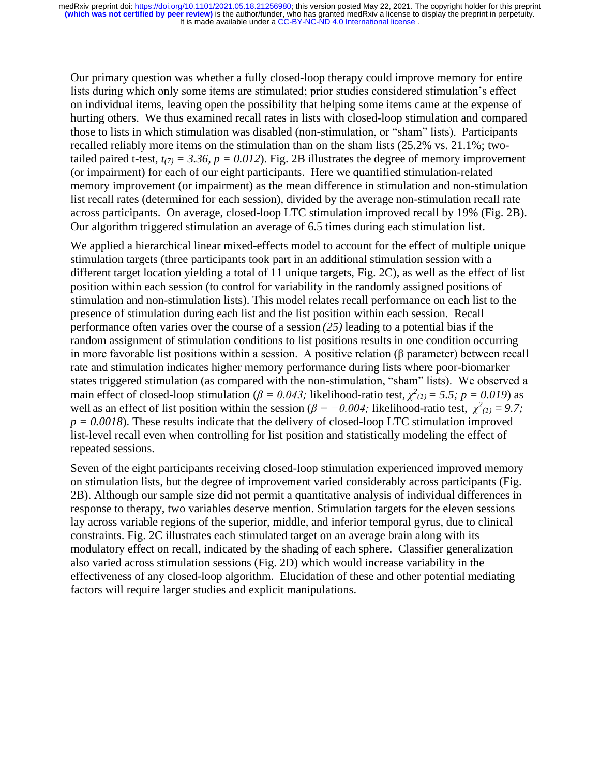Our primary question was whether a fully closed-loop therapy could improve memory for entire lists during which only some items are stimulated; prior studies considered stimulation's effect on individual items, leaving open the possibility that helping some items came at the expense of hurting others. We thus examined recall rates in lists with closed-loop stimulation and compared those to lists in which stimulation was disabled (non-stimulation, or "sham" lists). Participants recalled reliably more items on the stimulation than on the sham lists (25.2% vs. 21.1%; twotailed paired t-test,  $t_{(7)} = 3.36$ ,  $p = 0.012$ ). Fig. 2B illustrates the degree of memory improvement (or impairment) for each of our eight participants. Here we quantified stimulation-related memory improvement (or impairment) as the mean difference in stimulation and non-stimulation list recall rates (determined for each session), divided by the average non-stimulation recall rate across participants. On average, closed-loop LTC stimulation improved recall by 19% (Fig. 2B). Our algorithm triggered stimulation an average of 6.5 times during each stimulation list.

We applied a hierarchical linear mixed-effects model to account for the effect of multiple unique stimulation targets (three participants took part in an additional stimulation session with a different target location yielding a total of 11 unique targets, Fig. 2C), as well as the effect of list position within each session (to control for variability in the randomly assigned positions of stimulation and non-stimulation lists). This model relates recall performance on each list to the presence of stimulation during each list and the list position within each session. Recall performance often varies over the course of a session *(25)* leading to a potential bias if the random assignment of stimulation conditions to list positions results in one condition occurring in more favorable list positions within a session. A positive relation (β parameter) between recall rate and stimulation indicates higher memory performance during lists where poor-biomarker states triggered stimulation (as compared with the non-stimulation, "sham" lists). We observed a main effect of closed-loop stimulation ( $\beta = 0.043$ ; likelihood-ratio test,  $\chi^2_{(1)} = 5.5$ ;  $p = 0.019$ ) as well as an effect of list position within the session ( $\beta = -0.004$ ; likelihood-ratio test,  $\chi^2(i) = 9.7$ ;  $p = 0.0018$ ). These results indicate that the delivery of closed-loop LTC stimulation improved list-level recall even when controlling for list position and statistically modeling the effect of repeated sessions.

Seven of the eight participants receiving closed-loop stimulation experienced improved memory on stimulation lists, but the degree of improvement varied considerably across participants (Fig. 2B). Although our sample size did not permit a quantitative analysis of individual differences in response to therapy, two variables deserve mention. Stimulation targets for the eleven sessions lay across variable regions of the superior, middle, and inferior temporal gyrus, due to clinical constraints. Fig. 2C illustrates each stimulated target on an average brain along with its modulatory effect on recall, indicated by the shading of each sphere. Classifier generalization also varied across stimulation sessions (Fig. 2D) which would increase variability in the effectiveness of any closed-loop algorithm. Elucidation of these and other potential mediating factors will require larger studies and explicit manipulations.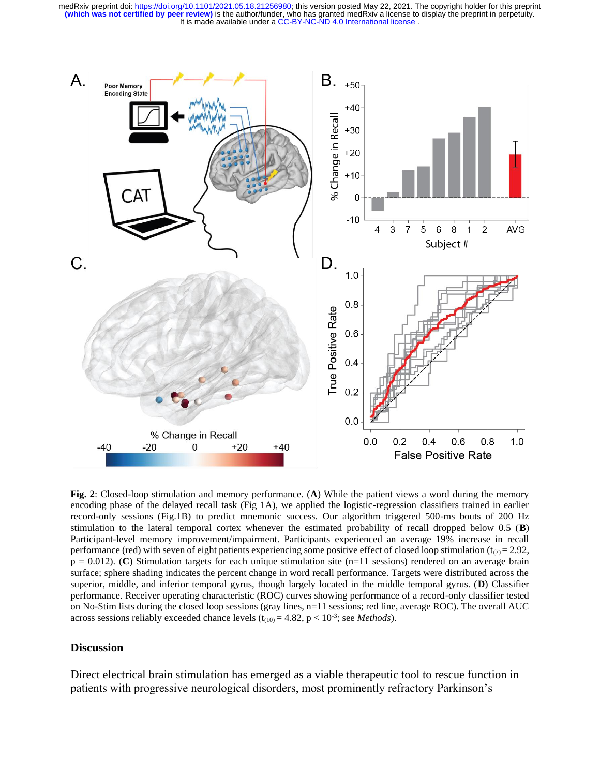

**Fig. 2**: Closed-loop stimulation and memory performance. (**A**) While the patient views a word during the memory encoding phase of the delayed recall task (Fig 1A), we applied the logistic-regression classifiers trained in earlier record-only sessions (Fig.1B) to predict mnemonic success. Our algorithm triggered 500-ms bouts of 200 Hz stimulation to the lateral temporal cortex whenever the estimated probability of recall dropped below 0.5 (**B**) Participant-level memory improvement/impairment. Participants experienced an average 19% increase in recall performance (red) with seven of eight patients experiencing some positive effect of closed loop stimulation ( $t_{(7)}$  = 2.92,  $p = 0.012$ ). (**C**) Stimulation targets for each unique stimulation site (n=11 sessions) rendered on an average brain surface; sphere shading indicates the percent change in word recall performance. Targets were distributed across the superior, middle, and inferior temporal gyrus, though largely located in the middle temporal gyrus. (**D**) Classifier performance. Receiver operating characteristic (ROC) curves showing performance of a record-only classifier tested on No-Stim lists during the closed loop sessions (gray lines, n=11 sessions; red line, average ROC). The overall AUC across sessions reliably exceeded chance levels  $(t_{(10)} = 4.82, p < 10^{-3})$ ; see *Methods*).

### **Discussion**

Direct electrical brain stimulation has emerged as a viable therapeutic tool to rescue function in patients with progressive neurological disorders, most prominently refractory Parkinson's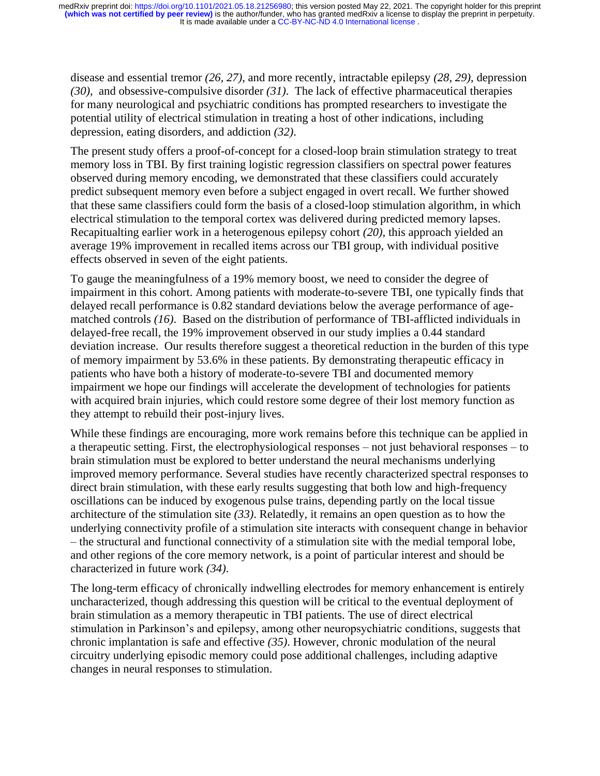disease and essential tremor *(26, 27)*, and more recently, intractable epilepsy *(28, 29)*, depression *(30)*, and obsessive-compulsive disorder *(31)*. The lack of effective pharmaceutical therapies for many neurological and psychiatric conditions has prompted researchers to investigate the potential utility of electrical stimulation in treating a host of other indications, including depression, eating disorders, and addiction *(32)*.

The present study offers a proof-of-concept for a closed-loop brain stimulation strategy to treat memory loss in TBI. By first training logistic regression classifiers on spectral power features observed during memory encoding, we demonstrated that these classifiers could accurately predict subsequent memory even before a subject engaged in overt recall. We further showed that these same classifiers could form the basis of a closed-loop stimulation algorithm, in which electrical stimulation to the temporal cortex was delivered during predicted memory lapses. Recapitualting earlier work in a heterogenous epilepsy cohort *(20)*, this approach yielded an average 19% improvement in recalled items across our TBI group, with individual positive effects observed in seven of the eight patients.

To gauge the meaningfulness of a 19% memory boost, we need to consider the degree of impairment in this cohort. Among patients with moderate-to-severe TBI, one typically finds that delayed recall performance is 0.82 standard deviations below the average performance of agematched controls *(16)*. Based on the distribution of performance of TBI-afflicted individuals in delayed-free recall, the 19% improvement observed in our study implies a 0.44 standard deviation increase. Our results therefore suggest a theoretical reduction in the burden of this type of memory impairment by 53.6% in these patients. By demonstrating therapeutic efficacy in patients who have both a history of moderate-to-severe TBI and documented memory impairment we hope our findings will accelerate the development of technologies for patients with acquired brain injuries, which could restore some degree of their lost memory function as they attempt to rebuild their post-injury lives.

While these findings are encouraging, more work remains before this technique can be applied in a therapeutic setting. First, the electrophysiological responses – not just behavioral responses – to brain stimulation must be explored to better understand the neural mechanisms underlying improved memory performance. Several studies have recently characterized spectral responses to direct brain stimulation, with these early results suggesting that both low and high-frequency oscillations can be induced by exogenous pulse trains, depending partly on the local tissue architecture of the stimulation site *(33)*. Relatedly, it remains an open question as to how the underlying connectivity profile of a stimulation site interacts with consequent change in behavior – the structural and functional connectivity of a stimulation site with the medial temporal lobe, and other regions of the core memory network, is a point of particular interest and should be characterized in future work *(34)*.

The long-term efficacy of chronically indwelling electrodes for memory enhancement is entirely uncharacterized, though addressing this question will be critical to the eventual deployment of brain stimulation as a memory therapeutic in TBI patients. The use of direct electrical stimulation in Parkinson's and epilepsy, among other neuropsychiatric conditions, suggests that chronic implantation is safe and effective *(35)*. However, chronic modulation of the neural circuitry underlying episodic memory could pose additional challenges, including adaptive changes in neural responses to stimulation.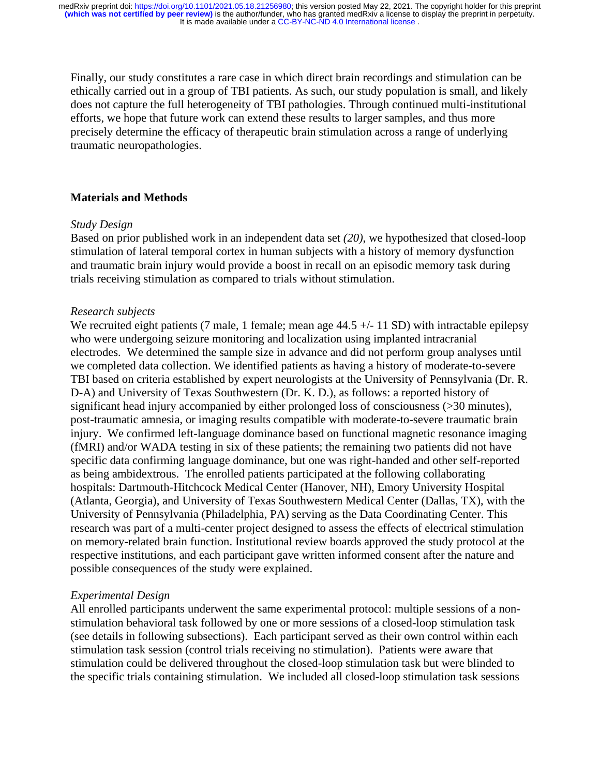Finally, our study constitutes a rare case in which direct brain recordings and stimulation can be ethically carried out in a group of TBI patients. As such, our study population is small, and likely does not capture the full heterogeneity of TBI pathologies. Through continued multi-institutional efforts, we hope that future work can extend these results to larger samples, and thus more precisely determine the efficacy of therapeutic brain stimulation across a range of underlying traumatic neuropathologies.

### **Materials and Methods**

#### *Study Design*

Based on prior published work in an independent data set *(20)*, we hypothesized that closed-loop stimulation of lateral temporal cortex in human subjects with a history of memory dysfunction and traumatic brain injury would provide a boost in recall on an episodic memory task during trials receiving stimulation as compared to trials without stimulation.

#### *Research subjects*

We recruited eight patients (7 male, 1 female; mean age  $44.5 +/- 11$  SD) with intractable epilepsy who were undergoing seizure monitoring and localization using implanted intracranial electrodes. We determined the sample size in advance and did not perform group analyses until we completed data collection. We identified patients as having a history of moderate-to-severe TBI based on criteria established by expert neurologists at the University of Pennsylvania (Dr. R. D-A) and University of Texas Southwestern (Dr. K. D.), as follows: a reported history of significant head injury accompanied by either prolonged loss of consciousness (>30 minutes), post-traumatic amnesia, or imaging results compatible with moderate-to-severe traumatic brain injury. We confirmed left-language dominance based on functional magnetic resonance imaging (fMRI) and/or WADA testing in six of these patients; the remaining two patients did not have specific data confirming language dominance, but one was right-handed and other self-reported as being ambidextrous. The enrolled patients participated at the following collaborating hospitals: Dartmouth-Hitchcock Medical Center (Hanover, NH), Emory University Hospital (Atlanta, Georgia), and University of Texas Southwestern Medical Center (Dallas, TX), with the University of Pennsylvania (Philadelphia, PA) serving as the Data Coordinating Center. This research was part of a multi-center project designed to assess the effects of electrical stimulation on memory-related brain function. Institutional review boards approved the study protocol at the respective institutions, and each participant gave written informed consent after the nature and possible consequences of the study were explained.

### *Experimental Design*

All enrolled participants underwent the same experimental protocol: multiple sessions of a nonstimulation behavioral task followed by one or more sessions of a closed-loop stimulation task (see details in following subsections). Each participant served as their own control within each stimulation task session (control trials receiving no stimulation). Patients were aware that stimulation could be delivered throughout the closed-loop stimulation task but were blinded to the specific trials containing stimulation. We included all closed-loop stimulation task sessions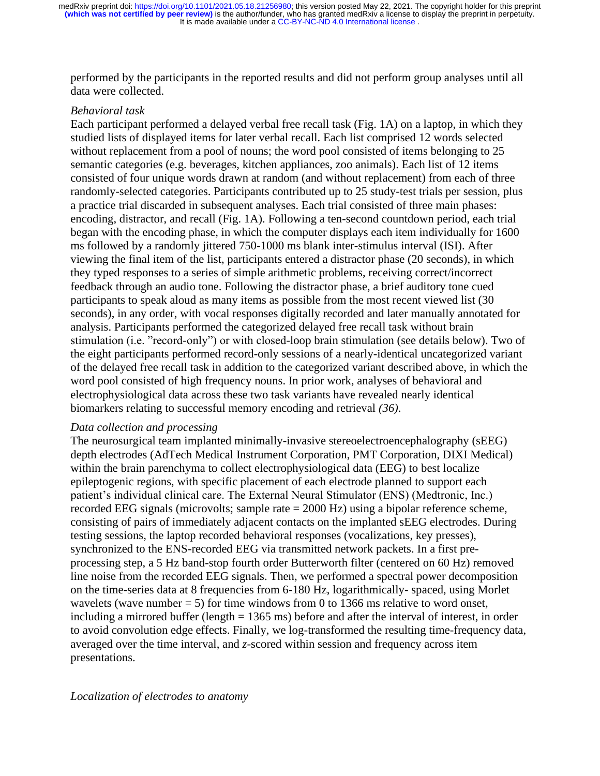performed by the participants in the reported results and did not perform group analyses until all data were collected.

## *Behavioral task*

Each participant performed a delayed verbal free recall task (Fig. 1A) on a laptop, in which they studied lists of displayed items for later verbal recall. Each list comprised 12 words selected without replacement from a pool of nouns; the word pool consisted of items belonging to 25 semantic categories (e.g. beverages, kitchen appliances, zoo animals). Each list of 12 items consisted of four unique words drawn at random (and without replacement) from each of three randomly-selected categories. Participants contributed up to 25 study-test trials per session, plus a practice trial discarded in subsequent analyses. Each trial consisted of three main phases: encoding, distractor, and recall (Fig. 1A). Following a ten-second countdown period, each trial began with the encoding phase, in which the computer displays each item individually for 1600 ms followed by a randomly jittered 750-1000 ms blank inter-stimulus interval (ISI). After viewing the final item of the list, participants entered a distractor phase (20 seconds), in which they typed responses to a series of simple arithmetic problems, receiving correct/incorrect feedback through an audio tone. Following the distractor phase, a brief auditory tone cued participants to speak aloud as many items as possible from the most recent viewed list (30 seconds), in any order, with vocal responses digitally recorded and later manually annotated for analysis. Participants performed the categorized delayed free recall task without brain stimulation (i.e. "record-only") or with closed-loop brain stimulation (see details below). Two of the eight participants performed record-only sessions of a nearly-identical uncategorized variant of the delayed free recall task in addition to the categorized variant described above, in which the word pool consisted of high frequency nouns. In prior work, analyses of behavioral and electrophysiological data across these two task variants have revealed nearly identical biomarkers relating to successful memory encoding and retrieval *(36)*.

### *Data collection and processing*

The neurosurgical team implanted minimally-invasive stereoelectroencephalography (sEEG) depth electrodes (AdTech Medical Instrument Corporation, PMT Corporation, DIXI Medical) within the brain parenchyma to collect electrophysiological data (EEG) to best localize epileptogenic regions, with specific placement of each electrode planned to support each patient's individual clinical care. The External Neural Stimulator (ENS) (Medtronic, Inc.) recorded EEG signals (microvolts; sample rate = 2000 Hz) using a bipolar reference scheme, consisting of pairs of immediately adjacent contacts on the implanted sEEG electrodes. During testing sessions, the laptop recorded behavioral responses (vocalizations, key presses), synchronized to the ENS-recorded EEG via transmitted network packets. In a first preprocessing step, a 5 Hz band-stop fourth order Butterworth filter (centered on 60 Hz) removed line noise from the recorded EEG signals. Then, we performed a spectral power decomposition on the time-series data at 8 frequencies from 6-180 Hz, logarithmically- spaced, using Morlet wavelets (wave number  $= 5$ ) for time windows from 0 to 1366 ms relative to word onset, including a mirrored buffer (length = 1365 ms) before and after the interval of interest, in order to avoid convolution edge effects. Finally, we log-transformed the resulting time-frequency data, averaged over the time interval, and *z*-scored within session and frequency across item presentations.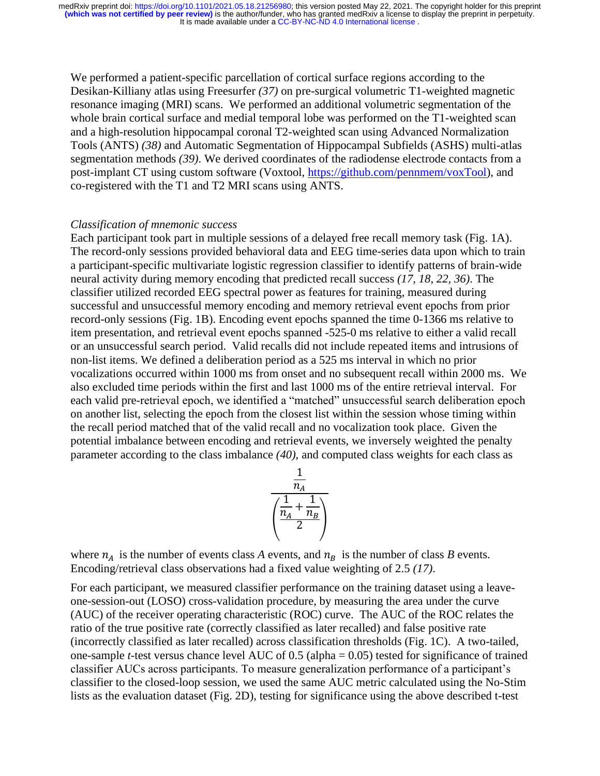We performed a patient-specific parcellation of cortical surface regions according to the Desikan-Killiany atlas using Freesurfer *(37)* on pre-surgical volumetric T1-weighted magnetic resonance imaging (MRI) scans. We performed an additional volumetric segmentation of the whole brain cortical surface and medial temporal lobe was performed on the T1-weighted scan and a high-resolution hippocampal coronal T2-weighted scan using Advanced Normalization Tools (ANTS) *(38)* and Automatic Segmentation of Hippocampal Subfields (ASHS) multi-atlas segmentation methods *(39)*. We derived coordinates of the radiodense electrode contacts from a post-implant CT using custom software (Voxtool, [https://github.com/pennmem/voxTool\)](https://github.com/pennmem/voxTool), and co-registered with the T1 and T2 MRI scans using ANTS.

#### *Classification of mnemonic success*

Each participant took part in multiple sessions of a delayed free recall memory task (Fig. 1A). The record-only sessions provided behavioral data and EEG time-series data upon which to train a participant-specific multivariate logistic regression classifier to identify patterns of brain-wide neural activity during memory encoding that predicted recall success *(17, 18, 22, 36)*. The classifier utilized recorded EEG spectral power as features for training, measured during successful and unsuccessful memory encoding and memory retrieval event epochs from prior record-only sessions (Fig. 1B). Encoding event epochs spanned the time 0-1366 ms relative to item presentation, and retrieval event epochs spanned -525-0 ms relative to either a valid recall or an unsuccessful search period. Valid recalls did not include repeated items and intrusions of non-list items. We defined a deliberation period as a 525 ms interval in which no prior vocalizations occurred within 1000 ms from onset and no subsequent recall within 2000 ms. We also excluded time periods within the first and last 1000 ms of the entire retrieval interval. For each valid pre-retrieval epoch, we identified a "matched" unsuccessful search deliberation epoch on another list, selecting the epoch from the closest list within the session whose timing within the recall period matched that of the valid recall and no vocalization took place. Given the potential imbalance between encoding and retrieval events, we inversely weighted the penalty parameter according to the class imbalance *(40)*, and computed class weights for each class as



where  $n_A$  is the number of events class *A* events, and  $n_B$  is the number of class *B* events. Encoding/retrieval class observations had a fixed value weighting of 2.5 *(17)*.

For each participant, we measured classifier performance on the training dataset using a leaveone-session-out (LOSO) cross-validation procedure, by measuring the area under the curve (AUC) of the receiver operating characteristic (ROC) curve. The AUC of the ROC relates the ratio of the true positive rate (correctly classified as later recalled) and false positive rate (incorrectly classified as later recalled) across classification thresholds (Fig. 1C). A two-tailed, one-sample *t*-test versus chance level AUC of 0.5 (alpha = 0.05) tested for significance of trained classifier AUCs across participants. To measure generalization performance of a participant's classifier to the closed-loop session, we used the same AUC metric calculated using the No-Stim lists as the evaluation dataset (Fig. 2D), testing for significance using the above described t-test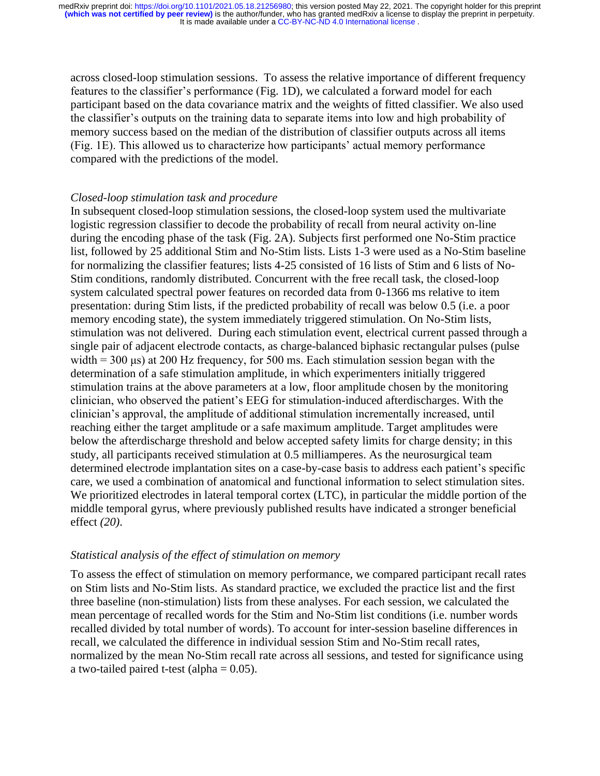across closed-loop stimulation sessions. To assess the relative importance of different frequency features to the classifier's performance (Fig. 1D), we calculated a forward model for each participant based on the data covariance matrix and the weights of fitted classifier. We also used the classifier's outputs on the training data to separate items into low and high probability of memory success based on the median of the distribution of classifier outputs across all items (Fig. 1E). This allowed us to characterize how participants' actual memory performance compared with the predictions of the model.

#### *Closed-loop stimulation task and procedure*

In subsequent closed-loop stimulation sessions, the closed-loop system used the multivariate logistic regression classifier to decode the probability of recall from neural activity on-line during the encoding phase of the task (Fig. 2A). Subjects first performed one No-Stim practice list, followed by 25 additional Stim and No-Stim lists. Lists 1-3 were used as a No-Stim baseline for normalizing the classifier features; lists 4-25 consisted of 16 lists of Stim and 6 lists of No-Stim conditions, randomly distributed. Concurrent with the free recall task, the closed-loop system calculated spectral power features on recorded data from 0-1366 ms relative to item presentation: during Stim lists, if the predicted probability of recall was below 0.5 (i.e. a poor memory encoding state), the system immediately triggered stimulation. On No-Stim lists, stimulation was not delivered. During each stimulation event, electrical current passed through a single pair of adjacent electrode contacts, as charge-balanced biphasic rectangular pulses (pulse width =  $300 \,\mu s$ ) at 200 Hz frequency, for 500 ms. Each stimulation session began with the determination of a safe stimulation amplitude, in which experimenters initially triggered stimulation trains at the above parameters at a low, floor amplitude chosen by the monitoring clinician, who observed the patient's EEG for stimulation-induced afterdischarges. With the clinician's approval, the amplitude of additional stimulation incrementally increased, until reaching either the target amplitude or a safe maximum amplitude. Target amplitudes were below the afterdischarge threshold and below accepted safety limits for charge density; in this study, all participants received stimulation at 0.5 milliamperes. As the neurosurgical team determined electrode implantation sites on a case-by-case basis to address each patient's specific care, we used a combination of anatomical and functional information to select stimulation sites. We prioritized electrodes in lateral temporal cortex (LTC), in particular the middle portion of the middle temporal gyrus, where previously published results have indicated a stronger beneficial effect *(20)*.

#### *Statistical analysis of the effect of stimulation on memory*

To assess the effect of stimulation on memory performance, we compared participant recall rates on Stim lists and No-Stim lists. As standard practice, we excluded the practice list and the first three baseline (non-stimulation) lists from these analyses. For each session, we calculated the mean percentage of recalled words for the Stim and No-Stim list conditions (i.e. number words recalled divided by total number of words). To account for inter-session baseline differences in recall, we calculated the difference in individual session Stim and No-Stim recall rates, normalized by the mean No-Stim recall rate across all sessions, and tested for significance using a two-tailed paired t-test (alpha  $= 0.05$ ).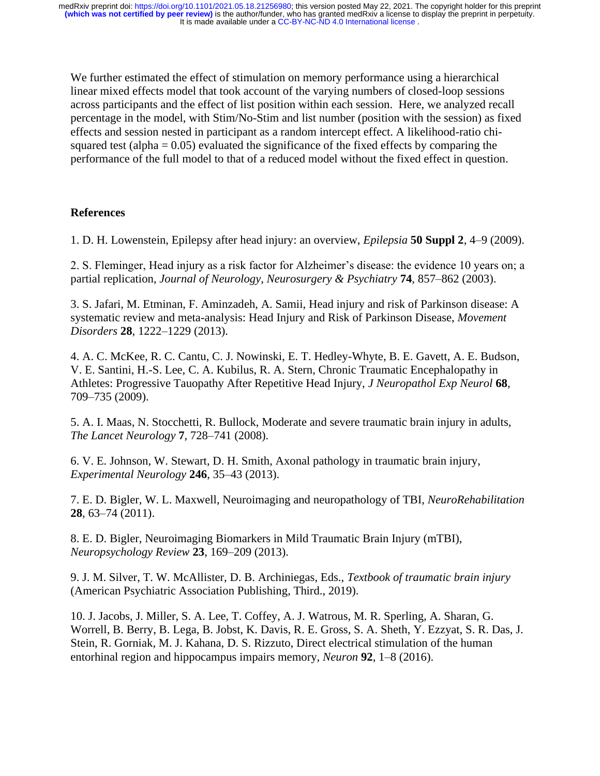We further estimated the effect of stimulation on memory performance using a hierarchical linear mixed effects model that took account of the varying numbers of closed-loop sessions across participants and the effect of list position within each session. Here, we analyzed recall percentage in the model, with Stim/No-Stim and list number (position with the session) as fixed effects and session nested in participant as a random intercept effect. A likelihood-ratio chisquared test (alpha  $= 0.05$ ) evaluated the significance of the fixed effects by comparing the performance of the full model to that of a reduced model without the fixed effect in question.

# **References**

1. D. H. Lowenstein, Epilepsy after head injury: an overview, *Epilepsia* **50 Suppl 2**, 4–9 (2009).

2. S. Fleminger, Head injury as a risk factor for Alzheimer's disease: the evidence 10 years on; a partial replication, *Journal of Neurology, Neurosurgery & Psychiatry* **74**, 857–862 (2003).

3. S. Jafari, M. Etminan, F. Aminzadeh, A. Samii, Head injury and risk of Parkinson disease: A systematic review and meta-analysis: Head Injury and Risk of Parkinson Disease, *Movement Disorders* **28**, 1222–1229 (2013).

4. A. C. McKee, R. C. Cantu, C. J. Nowinski, E. T. Hedley-Whyte, B. E. Gavett, A. E. Budson, V. E. Santini, H.-S. Lee, C. A. Kubilus, R. A. Stern, Chronic Traumatic Encephalopathy in Athletes: Progressive Tauopathy After Repetitive Head Injury, *J Neuropathol Exp Neurol* **68**, 709–735 (2009).

5. A. I. Maas, N. Stocchetti, R. Bullock, Moderate and severe traumatic brain injury in adults, *The Lancet Neurology* **7**, 728–741 (2008).

6. V. E. Johnson, W. Stewart, D. H. Smith, Axonal pathology in traumatic brain injury, *Experimental Neurology* **246**, 35–43 (2013).

7. E. D. Bigler, W. L. Maxwell, Neuroimaging and neuropathology of TBI, *NeuroRehabilitation* **28**, 63–74 (2011).

8. E. D. Bigler, Neuroimaging Biomarkers in Mild Traumatic Brain Injury (mTBI), *Neuropsychology Review* **23**, 169–209 (2013).

9. J. M. Silver, T. W. McAllister, D. B. Archiniegas, Eds., *Textbook of traumatic brain injury* (American Psychiatric Association Publishing, Third., 2019).

10. J. Jacobs, J. Miller, S. A. Lee, T. Coffey, A. J. Watrous, M. R. Sperling, A. Sharan, G. Worrell, B. Berry, B. Lega, B. Jobst, K. Davis, R. E. Gross, S. A. Sheth, Y. Ezzyat, S. R. Das, J. Stein, R. Gorniak, M. J. Kahana, D. S. Rizzuto, Direct electrical stimulation of the human entorhinal region and hippocampus impairs memory, *Neuron* **92**, 1–8 (2016).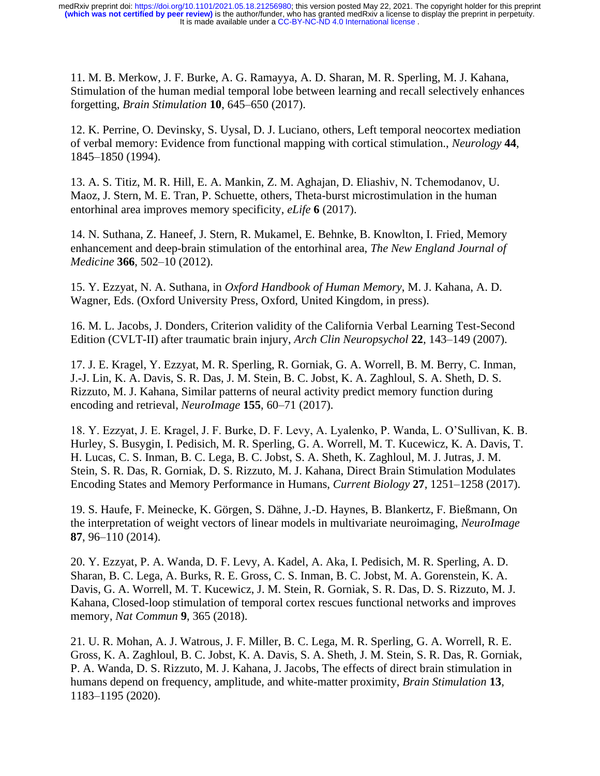11. M. B. Merkow, J. F. Burke, A. G. Ramayya, A. D. Sharan, M. R. Sperling, M. J. Kahana, Stimulation of the human medial temporal lobe between learning and recall selectively enhances forgetting, *Brain Stimulation* **10**, 645–650 (2017).

12. K. Perrine, O. Devinsky, S. Uysal, D. J. Luciano, others, Left temporal neocortex mediation of verbal memory: Evidence from functional mapping with cortical stimulation., *Neurology* **44**, 1845–1850 (1994).

13. A. S. Titiz, M. R. Hill, E. A. Mankin, Z. M. Aghajan, D. Eliashiv, N. Tchemodanov, U. Maoz, J. Stern, M. E. Tran, P. Schuette, others, Theta-burst microstimulation in the human entorhinal area improves memory specificity, *eLife* **6** (2017).

14. N. Suthana, Z. Haneef, J. Stern, R. Mukamel, E. Behnke, B. Knowlton, I. Fried, Memory enhancement and deep-brain stimulation of the entorhinal area, *The New England Journal of Medicine* **366**, 502–10 (2012).

15. Y. Ezzyat, N. A. Suthana, in *Oxford Handbook of Human Memory*, M. J. Kahana, A. D. Wagner, Eds. (Oxford University Press, Oxford, United Kingdom, in press).

16. M. L. Jacobs, J. Donders, Criterion validity of the California Verbal Learning Test-Second Edition (CVLT-II) after traumatic brain injury, *Arch Clin Neuropsychol* **22**, 143–149 (2007).

17. J. E. Kragel, Y. Ezzyat, M. R. Sperling, R. Gorniak, G. A. Worrell, B. M. Berry, C. Inman, J.-J. Lin, K. A. Davis, S. R. Das, J. M. Stein, B. C. Jobst, K. A. Zaghloul, S. A. Sheth, D. S. Rizzuto, M. J. Kahana, Similar patterns of neural activity predict memory function during encoding and retrieval, *NeuroImage* **155**, 60–71 (2017).

18. Y. Ezzyat, J. E. Kragel, J. F. Burke, D. F. Levy, A. Lyalenko, P. Wanda, L. O'Sullivan, K. B. Hurley, S. Busygin, I. Pedisich, M. R. Sperling, G. A. Worrell, M. T. Kucewicz, K. A. Davis, T. H. Lucas, C. S. Inman, B. C. Lega, B. C. Jobst, S. A. Sheth, K. Zaghloul, M. J. Jutras, J. M. Stein, S. R. Das, R. Gorniak, D. S. Rizzuto, M. J. Kahana, Direct Brain Stimulation Modulates Encoding States and Memory Performance in Humans, *Current Biology* **27**, 1251–1258 (2017).

19. S. Haufe, F. Meinecke, K. Görgen, S. Dähne, J.-D. Haynes, B. Blankertz, F. Bießmann, On the interpretation of weight vectors of linear models in multivariate neuroimaging, *NeuroImage* **87**, 96–110 (2014).

20. Y. Ezzyat, P. A. Wanda, D. F. Levy, A. Kadel, A. Aka, I. Pedisich, M. R. Sperling, A. D. Sharan, B. C. Lega, A. Burks, R. E. Gross, C. S. Inman, B. C. Jobst, M. A. Gorenstein, K. A. Davis, G. A. Worrell, M. T. Kucewicz, J. M. Stein, R. Gorniak, S. R. Das, D. S. Rizzuto, M. J. Kahana, Closed-loop stimulation of temporal cortex rescues functional networks and improves memory, *Nat Commun* **9**, 365 (2018).

21. U. R. Mohan, A. J. Watrous, J. F. Miller, B. C. Lega, M. R. Sperling, G. A. Worrell, R. E. Gross, K. A. Zaghloul, B. C. Jobst, K. A. Davis, S. A. Sheth, J. M. Stein, S. R. Das, R. Gorniak, P. A. Wanda, D. S. Rizzuto, M. J. Kahana, J. Jacobs, The effects of direct brain stimulation in humans depend on frequency, amplitude, and white-matter proximity, *Brain Stimulation* **13**, 1183–1195 (2020).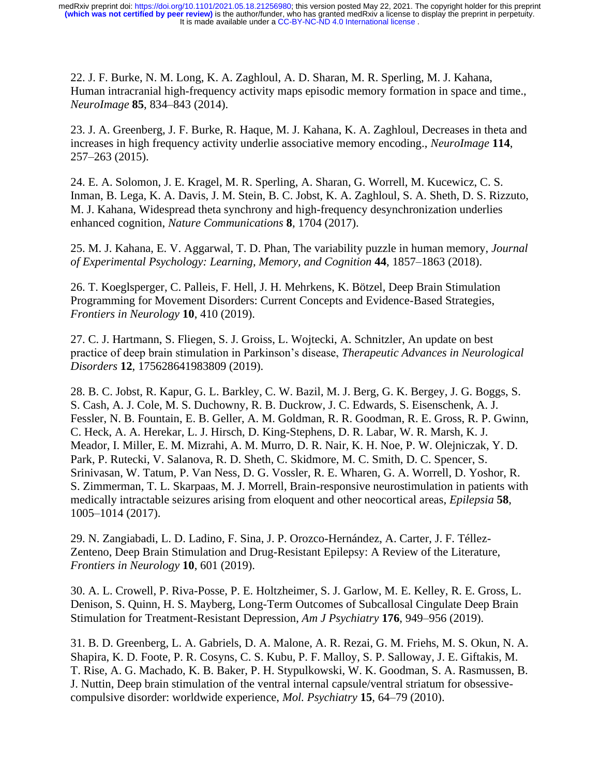22. J. F. Burke, N. M. Long, K. A. Zaghloul, A. D. Sharan, M. R. Sperling, M. J. Kahana, Human intracranial high-frequency activity maps episodic memory formation in space and time., *NeuroImage* **85**, 834–843 (2014).

23. J. A. Greenberg, J. F. Burke, R. Haque, M. J. Kahana, K. A. Zaghloul, Decreases in theta and increases in high frequency activity underlie associative memory encoding., *NeuroImage* **114**, 257–263 (2015).

24. E. A. Solomon, J. E. Kragel, M. R. Sperling, A. Sharan, G. Worrell, M. Kucewicz, C. S. Inman, B. Lega, K. A. Davis, J. M. Stein, B. C. Jobst, K. A. Zaghloul, S. A. Sheth, D. S. Rizzuto, M. J. Kahana, Widespread theta synchrony and high-frequency desynchronization underlies enhanced cognition, *Nature Communications* **8**, 1704 (2017).

25. M. J. Kahana, E. V. Aggarwal, T. D. Phan, The variability puzzle in human memory, *Journal of Experimental Psychology: Learning, Memory, and Cognition* **44**, 1857–1863 (2018).

26. T. Koeglsperger, C. Palleis, F. Hell, J. H. Mehrkens, K. Bötzel, Deep Brain Stimulation Programming for Movement Disorders: Current Concepts and Evidence-Based Strategies, *Frontiers in Neurology* **10**, 410 (2019).

27. C. J. Hartmann, S. Fliegen, S. J. Groiss, L. Wojtecki, A. Schnitzler, An update on best practice of deep brain stimulation in Parkinson's disease, *Therapeutic Advances in Neurological Disorders* **12**, 175628641983809 (2019).

28. B. C. Jobst, R. Kapur, G. L. Barkley, C. W. Bazil, M. J. Berg, G. K. Bergey, J. G. Boggs, S. S. Cash, A. J. Cole, M. S. Duchowny, R. B. Duckrow, J. C. Edwards, S. Eisenschenk, A. J. Fessler, N. B. Fountain, E. B. Geller, A. M. Goldman, R. R. Goodman, R. E. Gross, R. P. Gwinn, C. Heck, A. A. Herekar, L. J. Hirsch, D. King-Stephens, D. R. Labar, W. R. Marsh, K. J. Meador, I. Miller, E. M. Mizrahi, A. M. Murro, D. R. Nair, K. H. Noe, P. W. Olejniczak, Y. D. Park, P. Rutecki, V. Salanova, R. D. Sheth, C. Skidmore, M. C. Smith, D. C. Spencer, S. Srinivasan, W. Tatum, P. Van Ness, D. G. Vossler, R. E. Wharen, G. A. Worrell, D. Yoshor, R. S. Zimmerman, T. L. Skarpaas, M. J. Morrell, Brain-responsive neurostimulation in patients with medically intractable seizures arising from eloquent and other neocortical areas, *Epilepsia* **58**, 1005–1014 (2017).

29. N. Zangiabadi, L. D. Ladino, F. Sina, J. P. Orozco-Hernández, A. Carter, J. F. Téllez-Zenteno, Deep Brain Stimulation and Drug-Resistant Epilepsy: A Review of the Literature, *Frontiers in Neurology* **10**, 601 (2019).

30. A. L. Crowell, P. Riva-Posse, P. E. Holtzheimer, S. J. Garlow, M. E. Kelley, R. E. Gross, L. Denison, S. Quinn, H. S. Mayberg, Long-Term Outcomes of Subcallosal Cingulate Deep Brain Stimulation for Treatment-Resistant Depression, *Am J Psychiatry* **176**, 949–956 (2019).

31. B. D. Greenberg, L. A. Gabriels, D. A. Malone, A. R. Rezai, G. M. Friehs, M. S. Okun, N. A. Shapira, K. D. Foote, P. R. Cosyns, C. S. Kubu, P. F. Malloy, S. P. Salloway, J. E. Giftakis, M. T. Rise, A. G. Machado, K. B. Baker, P. H. Stypulkowski, W. K. Goodman, S. A. Rasmussen, B. J. Nuttin, Deep brain stimulation of the ventral internal capsule/ventral striatum for obsessivecompulsive disorder: worldwide experience, *Mol. Psychiatry* **15**, 64–79 (2010).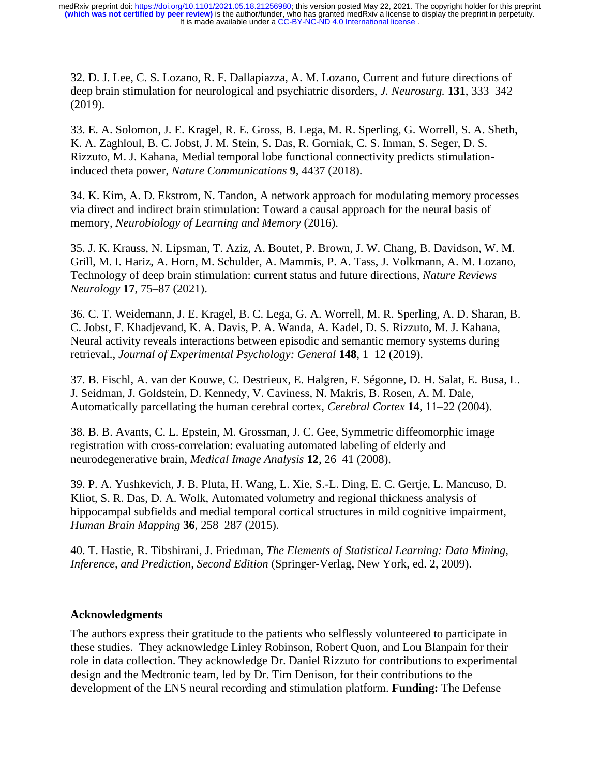32. D. J. Lee, C. S. Lozano, R. F. Dallapiazza, A. M. Lozano, Current and future directions of deep brain stimulation for neurological and psychiatric disorders, *J. Neurosurg.* **131**, 333–342 (2019).

33. E. A. Solomon, J. E. Kragel, R. E. Gross, B. Lega, M. R. Sperling, G. Worrell, S. A. Sheth, K. A. Zaghloul, B. C. Jobst, J. M. Stein, S. Das, R. Gorniak, C. S. Inman, S. Seger, D. S. Rizzuto, M. J. Kahana, Medial temporal lobe functional connectivity predicts stimulationinduced theta power, *Nature Communications* **9**, 4437 (2018).

34. K. Kim, A. D. Ekstrom, N. Tandon, A network approach for modulating memory processes via direct and indirect brain stimulation: Toward a causal approach for the neural basis of memory, *Neurobiology of Learning and Memory* (2016).

35. J. K. Krauss, N. Lipsman, T. Aziz, A. Boutet, P. Brown, J. W. Chang, B. Davidson, W. M. Grill, M. I. Hariz, A. Horn, M. Schulder, A. Mammis, P. A. Tass, J. Volkmann, A. M. Lozano, Technology of deep brain stimulation: current status and future directions, *Nature Reviews Neurology* **17**, 75–87 (2021).

36. C. T. Weidemann, J. E. Kragel, B. C. Lega, G. A. Worrell, M. R. Sperling, A. D. Sharan, B. C. Jobst, F. Khadjevand, K. A. Davis, P. A. Wanda, A. Kadel, D. S. Rizzuto, M. J. Kahana, Neural activity reveals interactions between episodic and semantic memory systems during retrieval., *Journal of Experimental Psychology: General* **148**, 1–12 (2019).

37. B. Fischl, A. van der Kouwe, C. Destrieux, E. Halgren, F. Ségonne, D. H. Salat, E. Busa, L. J. Seidman, J. Goldstein, D. Kennedy, V. Caviness, N. Makris, B. Rosen, A. M. Dale, Automatically parcellating the human cerebral cortex, *Cerebral Cortex* **14**, 11–22 (2004).

38. B. B. Avants, C. L. Epstein, M. Grossman, J. C. Gee, Symmetric diffeomorphic image registration with cross-correlation: evaluating automated labeling of elderly and neurodegenerative brain, *Medical Image Analysis* **12**, 26–41 (2008).

39. P. A. Yushkevich, J. B. Pluta, H. Wang, L. Xie, S.-L. Ding, E. C. Gertje, L. Mancuso, D. Kliot, S. R. Das, D. A. Wolk, Automated volumetry and regional thickness analysis of hippocampal subfields and medial temporal cortical structures in mild cognitive impairment, *Human Brain Mapping* **36**, 258–287 (2015).

40. T. Hastie, R. Tibshirani, J. Friedman, *The Elements of Statistical Learning: Data Mining, Inference, and Prediction, Second Edition* (Springer-Verlag, New York, ed. 2, 2009).

# **Acknowledgments**

The authors express their gratitude to the patients who selflessly volunteered to participate in these studies. They acknowledge Linley Robinson, Robert Quon, and Lou Blanpain for their role in data collection. They acknowledge Dr. Daniel Rizzuto for contributions to experimental design and the Medtronic team, led by Dr. Tim Denison, for their contributions to the development of the ENS neural recording and stimulation platform. **Funding:** The Defense